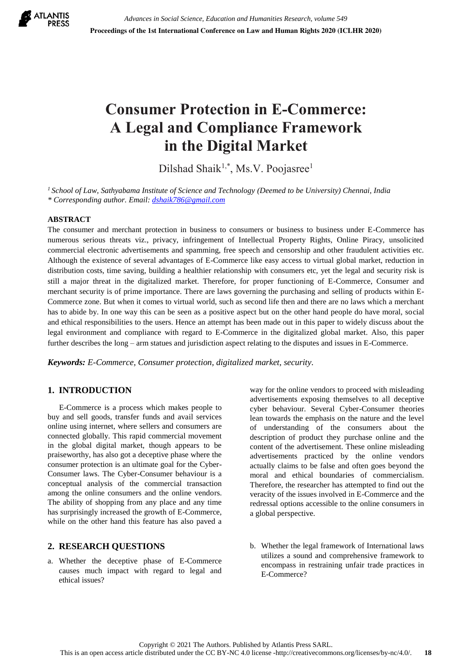

# **Consumer Protection in E-Commerce: A Legal and Compliance Framework in the Digital Market**

Dilshad Shaik<sup>1,\*</sup>, Ms.V. Poojasree<sup>1</sup>

*<sup>1</sup>School of Law, Sathyabama Institute of Science and Technology (Deemed to be University) Chennai, India \* Corresponding author. Email: [dshaik786@gmail.com](mailto:dshaik786@gmail.com)*

## **ABSTRACT**

The consumer and merchant protection in business to consumers or business to business under E-Commerce has numerous serious threats viz., privacy, infringement of Intellectual Property Rights, Online Piracy, unsolicited commercial electronic advertisements and spamming, free speech and censorship and other fraudulent activities etc. Although the existence of several advantages of E-Commerce like easy access to virtual global market, reduction in distribution costs, time saving, building a healthier relationship with consumers etc, yet the legal and security risk is still a major threat in the digitalized market. Therefore, for proper functioning of E-Commerce, Consumer and merchant security is of prime importance. There are laws governing the purchasing and selling of products within E-Commerce zone. But when it comes to virtual world, such as second life then and there are no laws which a merchant has to abide by. In one way this can be seen as a positive aspect but on the other hand people do have moral, social and ethical responsibilities to the users. Hence an attempt has been made out in this paper to widely discuss about the legal environment and compliance with regard to E-Commerce in the digitalized global market. Also, this paper further describes the long – arm statues and jurisdiction aspect relating to the disputes and issues in E-Commerce.

*Keywords: E-Commerce, Consumer protection, digitalized market, security.*

# **1. INTRODUCTION**

E-Commerce is a process which makes people to buy and sell goods, transfer funds and avail services online using internet, where sellers and consumers are connected globally. This rapid commercial movement in the global digital market, though appears to be praiseworthy, has also got a deceptive phase where the consumer protection is an ultimate goal for the Cyber-Consumer laws. The Cyber-Consumer behaviour is a conceptual analysis of the commercial transaction among the online consumers and the online vendors. The ability of shopping from any place and any time has surprisingly increased the growth of E-Commerce, while on the other hand this feature has also paved a

## **2. RESEARCH QUESTIONS**

a. Whether the deceptive phase of E-Commerce causes much impact with regard to legal and ethical issues?

way for the online vendors to proceed with misleading advertisements exposing themselves to all deceptive cyber behaviour. Several Cyber-Consumer theories lean towards the emphasis on the nature and the level of understanding of the consumers about the description of product they purchase online and the content of the advertisement. These online misleading advertisements practiced by the online vendors actually claims to be false and often goes beyond the moral and ethical boundaries of commercialism. Therefore, the researcher has attempted to find out the veracity of the issues involved in E-Commerce and the redressal options accessible to the online consumers in a global perspective.

b. Whether the legal framework of International laws utilizes a sound and comprehensive framework to encompass in restraining unfair trade practices in E-Commerce?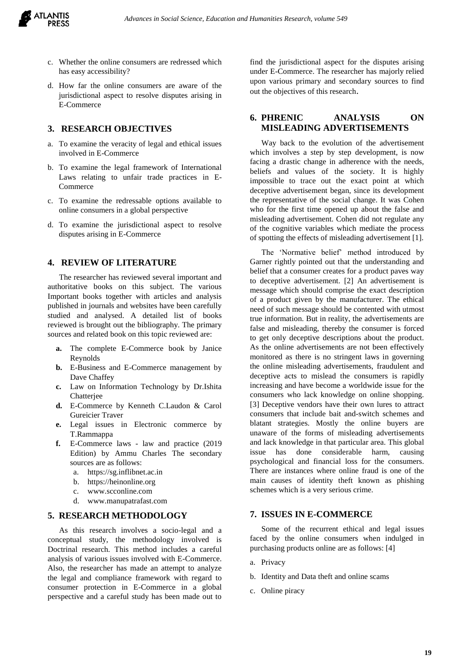

- c. Whether the online consumers are redressed which has easy accessibility?
- d. How far the online consumers are aware of the jurisdictional aspect to resolve disputes arising in E-Commerce

#### **3. RESEARCH OBJECTIVES**

- a. To examine the veracity of legal and ethical issues involved in E-Commerce
- b. To examine the legal framework of International Laws relating to unfair trade practices in E-Commerce
- c. To examine the redressable options available to online consumers in a global perspective
- d. To examine the jurisdictional aspect to resolve disputes arising in E-Commerce

## **4. REVIEW OF LITERATURE**

The researcher has reviewed several important and authoritative books on this subject. The various Important books together with articles and analysis published in journals and websites have been carefully studied and analysed. A detailed list of books reviewed is brought out the bibliography. The primary sources and related book on this topic reviewed are:

- **a.** The complete E-Commerce book by Janice Reynolds
- **b.** E-Business and E-Commerce management by Dave Chaffey
- **c.** Law on Information Technology by Dr.Ishita Chatterjee
- **d.** E-Commerce by Kenneth C.Laudon & Carol Gureicier Traver
- **e.** Legal issues in Electronic commerce by T.Rammappa
- **f.** E-Commerce laws law and practice (2019 Edition) by Ammu Charles The secondary sources are as follows:
	- a. [https://sg.inflibnet.ac.in](https://sg.inflibnet.ac.in/)
	- b. [https://heinonline.org](https://heinonline.org/)
	- c. [www.scconline.com](http://www.scconline.com/)
	- d. [www.manupatrafast.com](http://www.manupatrafast.com/)

#### **5. RESEARCH METHODOLOGY**

As this research involves a socio-legal and a conceptual study, the methodology involved is Doctrinal research. This method includes a careful analysis of various issues involved with E-Commerce. Also, the researcher has made an attempt to analyze the legal and compliance framework with regard to consumer protection in E-Commerce in a global perspective and a careful study has been made out to

find the jurisdictional aspect for the disputes arising under E-Commerce. The researcher has majorly relied upon various primary and secondary sources to find out the objectives of this research.

# **6. PHRENIC ANALYSIS ON MISLEADING ADVERTISEMENTS**

Way back to the evolution of the advertisement which involves a step by step development, is now facing a drastic change in adherence with the needs, beliefs and values of the society. It is highly impossible to trace out the exact point at which deceptive advertisement began, since its development the representative of the social change. It was Cohen who for the first time opened up about the false and misleading advertisement. Cohen did not regulate any of the cognitive variables which mediate the process of spotting the effects of misleading advertisement [1].

The 'Normative belief' method introduced by Garner rightly pointed out that the understanding and belief that a consumer creates for a product paves way to deceptive advertisement. [2] An advertisement is message which should comprise the exact description of a product given by the manufacturer. The ethical need of such message should be contented with utmost true information. But in reality, the advertisements are false and misleading, thereby the consumer is forced to get only deceptive descriptions about the product. As the online advertisements are not been effectively monitored as there is no stringent laws in governing the online misleading advertisements, fraudulent and deceptive acts to mislead the consumers is rapidly increasing and have become a worldwide issue for the consumers who lack knowledge on online shopping. [3] Deceptive vendors have their own lures to attract consumers that include bait and-switch schemes and blatant strategies. Mostly the online buyers are unaware of the forms of misleading advertisements and lack knowledge in that particular area. This global issue has done considerable harm, causing psychological and financial loss for the consumers. There are instances where online fraud is one of the main causes of identity theft known as phishing schemes which is a very serious crime.

#### **7. ISSUES IN E-COMMERCE**

Some of the recurrent ethical and legal issues faced by the online consumers when indulged in purchasing products online are as follows: [4]

- a. Privacy
- b. Identity and Data theft and online scams
- c. Online piracy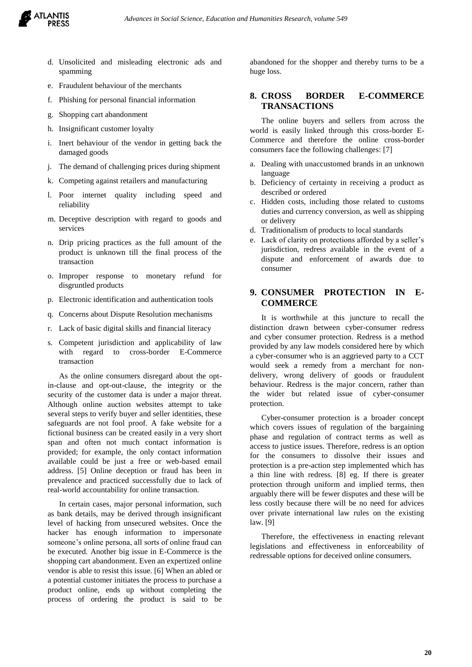

- d. Unsolicited and misleading electronic ads and spamming
- e. Fraudulent behaviour of the merchants
- f. Phishing for personal financial information
- g. Shopping cart abandonment
- h. Insignificant customer loyalty
- i. Inert behaviour of the vendor in getting back the damaged goods
- j. The demand of challenging prices during shipment
- k. Competing against retailers and manufacturing
- l. Poor internet quality including speed and reliability
- m. Deceptive description with regard to goods and services
- n. Drip pricing practices as the full amount of the product is unknown till the final process of the transaction
- o. Improper response to monetary refund for disgruntled products
- p. Electronic identification and authentication tools
- q. Concerns about Dispute Resolution mechanisms
- r. Lack of basic digital skills and financial literacy
- s. Competent jurisdiction and applicability of law with regard to cross-border E-Commerce transaction

As the online consumers disregard about the optin-clause and opt-out-clause, the integrity or the security of the customer data is under a major threat. Although online auction websites attempt to take several steps to verify buyer and seller identities, these safeguards are not fool proof. A fake website for a fictional business can be created easily in a very short span and often not much contact information is provided; for example, the only contact information available could be just a free or web-based email address. [5] Online deception or fraud has been in prevalence and practiced successfully due to lack of real-world accountability for online transaction.

In certain cases, major personal information, such as bank details, may be derived through insignificant level of hacking from unsecured websites. Once the hacker has enough information to impersonate someone's online persona, all sorts of online fraud can be executed. Another big issue in E-Commerce is the shopping cart abandonment. Even an expertized online vendor is able to resist this issue. [6] When an abled or a potential customer initiates the process to purchase a product online, ends up without completing the process of ordering the product is said to be abandoned for the shopper and thereby turns to be a huge loss.

# **8. CROSS BORDER E-COMMERCE TRANSACTIONS**

The online buyers and sellers from across the world is easily linked through this cross-border E-Commerce and therefore the online cross-border consumers face the following challenges: [7]

- a. Dealing with unaccustomed brands in an unknown language
- b. Deficiency of certainty in receiving a product as described or ordered
- c. Hidden costs, including those related to customs duties and currency conversion, as well as shipping or delivery
- d. Traditionalism of products to local standards
- e. Lack of clarity on protections afforded by a seller's jurisdiction, redress available in the event of a dispute and enforcement of awards due to consumer

# **9. CONSUMER PROTECTION IN E-COMMERCE**

It is worthwhile at this juncture to recall the distinction drawn between cyber-consumer redress and cyber consumer protection. Redress is a method provided by any law models considered here by which a cyber-consumer who is an aggrieved party to a CCT would seek a remedy from a merchant for nondelivery, wrong delivery of goods or fraudulent behaviour. Redress is the major concern, rather than the wider but related issue of cyber-consumer protection.

Cyber-consumer protection is a broader concept which covers issues of regulation of the bargaining phase and regulation of contract terms as well as access to justice issues. Therefore, redress is an option for the consumers to dissolve their issues and protection is a pre-action step implemented which has a thin line with redress. [8] eg. If there is greater protection through uniform and implied terms, then arguably there will be fewer disputes and these will be less costly because there will be no need for advices over private international law rules on the existing law. [9]

Therefore, the effectiveness in enacting relevant legislations and effectiveness in enforceability of redressable options for deceived online consumers.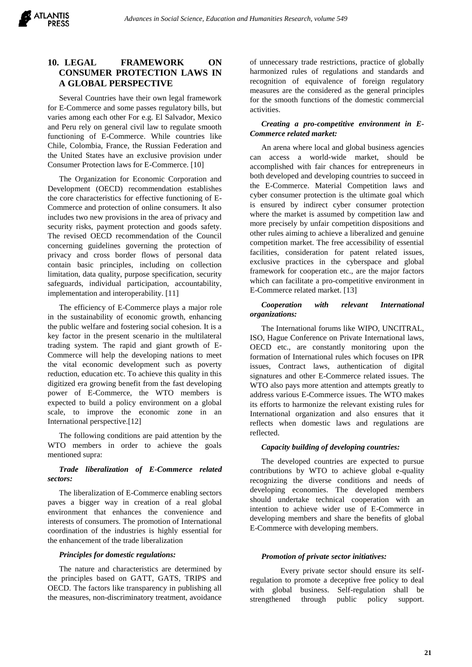# **10. LEGAL FRAMEWORK ON CONSUMER PROTECTION LAWS IN A GLOBAL PERSPECTIVE**

Several Countries have their own legal framework for E-Commerce and some passes regulatory bills, but varies among each other For e.g. El Salvador, Mexico and Peru rely on general civil law to regulate smooth functioning of E-Commerce. While countries like Chile, Colombia, France, the Russian Federation and the United States have an exclusive provision under Consumer Protection laws for E-Commerce. [10]

The Organization for Economic Corporation and Development (OECD) recommendation establishes the core characteristics for effective functioning of E-Commerce and protection of online consumers. It also includes two new provisions in the area of privacy and security risks, payment protection and goods safety. The revised OECD recommendation of the Council concerning guidelines governing the protection of privacy and cross border flows of personal data contain basic principles, including on collection limitation, data quality, purpose specification, security safeguards, individual participation, accountability, implementation and interoperability. [11]

The efficiency of E-Commerce plays a major role in the sustainability of economic growth, enhancing the public welfare and fostering social cohesion. It is a key factor in the present scenario in the multilateral trading system. The rapid and giant growth of E-Commerce will help the developing nations to meet the vital economic development such as poverty reduction, education etc. To achieve this quality in this digitized era growing benefit from the fast developing power of E-Commerce, the WTO members is expected to build a policy environment on a global scale, to improve the economic zone in an International perspective.[12]

The following conditions are paid attention by the WTO members in order to achieve the goals mentioned supra:

## *Trade liberalization of E-Commerce related sectors:*

The liberalization of E-Commerce enabling sectors paves a bigger way in creation of a real global environment that enhances the convenience and interests of consumers. The promotion of International coordination of the industries is highly essential for the enhancement of the trade liberalization

#### *Principles for domestic regulations:*

The nature and characteristics are determined by the principles based on GATT, GATS, TRIPS and OECD. The factors like transparency in publishing all the measures, non-discriminatory treatment, avoidance

of unnecessary trade restrictions, practice of globally harmonized rules of regulations and standards and recognition of equivalence of foreign regulatory measures are the considered as the general principles for the smooth functions of the domestic commercial activities.

## *Creating a pro-competitive environment in E-Commerce related market:*

An arena where local and global business agencies can access a world-wide market, should be accomplished with fair chances for entrepreneurs in both developed and developing countries to succeed in the E-Commerce. Material Competition laws and cyber consumer protection is the ultimate goal which is ensured by indirect cyber consumer protection where the market is assumed by competition law and more precisely by unfair competition dispositions and other rules aiming to achieve a liberalized and genuine competition market. The free accessibility of essential facilities, consideration for patent related issues, exclusive practices in the cyberspace and global framework for cooperation etc., are the major factors which can facilitate a pro-competitive environment in E-Commerce related market. [13]

#### *Cooperation with relevant International organizations:*

The International forums like WIPO, UNCITRAL, ISO, Hague Conference on Private International laws, OECD etc., are constantly monitoring upon the formation of International rules which focuses on IPR issues, Contract laws, authentication of digital signatures and other E-Commerce related issues. The WTO also pays more attention and attempts greatly to address various E-Commerce issues. The WTO makes its efforts to harmonize the relevant existing rules for International organization and also ensures that it reflects when domestic laws and regulations are reflected.

## *Capacity building of developing countries:*

The developed countries are expected to pursue contributions by WTO to achieve global e-quality recognizing the diverse conditions and needs of developing economies. The developed members should undertake technical cooperation with an intention to achieve wider use of E-Commerce in developing members and share the benefits of global E-Commerce with developing members.

#### *Promotion of private sector initiatives:*

Every private sector should ensure its selfregulation to promote a deceptive free policy to deal with global business. Self-regulation shall be strengthened through public policy support.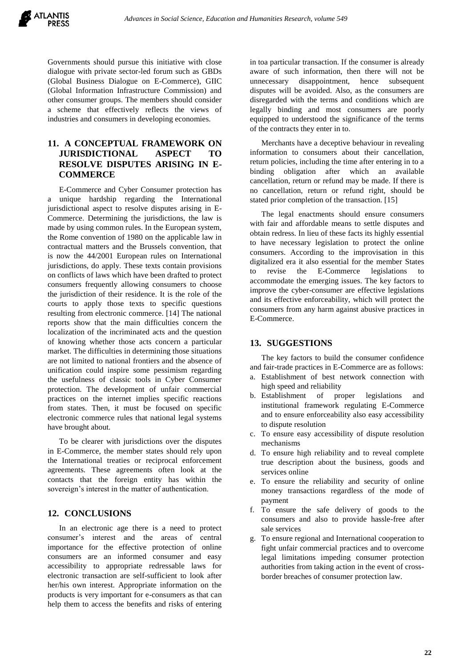

Governments should pursue this initiative with close dialogue with private sector-led forum such as GBDs (Global Business Dialogue on E-Commerce), GIIC (Global Information Infrastructure Commission) and other consumer groups. The members should consider a scheme that effectively reflects the views of industries and consumers in developing economies.

# **11. A CONCEPTUAL FRAMEWORK ON JURISDICTIONAL ASPECT TO RESOLVE DISPUTES ARISING IN E-COMMERCE**

E-Commerce and Cyber Consumer protection has a unique hardship regarding the International jurisdictional aspect to resolve disputes arising in E-Commerce. Determining the jurisdictions, the law is made by using common rules. In the European system, the Rome convention of 1980 on the applicable law in contractual matters and the Brussels convention, that is now the 44/2001 European rules on International jurisdictions, do apply. These texts contain provisions on conflicts of laws which have been drafted to protect consumers frequently allowing consumers to choose the jurisdiction of their residence. It is the role of the courts to apply those texts to specific questions resulting from electronic commerce. [14] The national reports show that the main difficulties concern the localization of the incriminated acts and the question of knowing whether those acts concern a particular market. The difficulties in determining those situations are not limited to national frontiers and the absence of unification could inspire some pessimism regarding the usefulness of classic tools in Cyber Consumer protection. The development of unfair commercial practices on the internet implies specific reactions from states. Then, it must be focused on specific electronic commerce rules that national legal systems have brought about.

To be clearer with jurisdictions over the disputes in E-Commerce, the member states should rely upon the International treaties or reciprocal enforcement agreements. These agreements often look at the contacts that the foreign entity has within the sovereign's interest in the matter of authentication.

# **12. CONCLUSIONS**

In an electronic age there is a need to protect consumer's interest and the areas of central importance for the effective protection of online consumers are an informed consumer and easy accessibility to appropriate redressable laws for electronic transaction are self-sufficient to look after her/his own interest. Appropriate information on the products is very important for e-consumers as that can help them to access the benefits and risks of entering

in toa particular transaction. If the consumer is already aware of such information, then there will not be unnecessary disappointment, hence subsequent disputes will be avoided. Also, as the consumers are disregarded with the terms and conditions which are legally binding and most consumers are poorly equipped to understood the significance of the terms of the contracts they enter in to.

Merchants have a deceptive behaviour in revealing information to consumers about their cancellation, return policies, including the time after entering in to a binding obligation after which an available cancellation, return or refund may be made. If there is no cancellation, return or refund right, should be stated prior completion of the transaction. [15]

The legal enactments should ensure consumers with fair and affordable means to settle disputes and obtain redress. In lieu of these facts its highly essential to have necessary legislation to protect the online consumers. According to the improvisation in this digitalized era it also essential for the member States to revise the E-Commerce legislations to accommodate the emerging issues. The key factors to improve the cyber-consumer are effective legislations and its effective enforceability, which will protect the consumers from any harm against abusive practices in E-Commerce.

## **13. SUGGESTIONS**

The key factors to build the consumer confidence and fair-trade practices in E-Commerce are as follows:

- a. Establishment of best network connection with high speed and reliability
- b. Establishment of proper legislations and institutional framework regulating E-Commerce and to ensure enforceability also easy accessibility to dispute resolution
- c. To ensure easy accessibility of dispute resolution mechanisms
- d. To ensure high reliability and to reveal complete true description about the business, goods and services online
- e. To ensure the reliability and security of online money transactions regardless of the mode of payment
- f. To ensure the safe delivery of goods to the consumers and also to provide hassle-free after sale services
- g. To ensure regional and International cooperation to fight unfair commercial practices and to overcome legal limitations impeding consumer protection authorities from taking action in the event of crossborder breaches of consumer protection law.